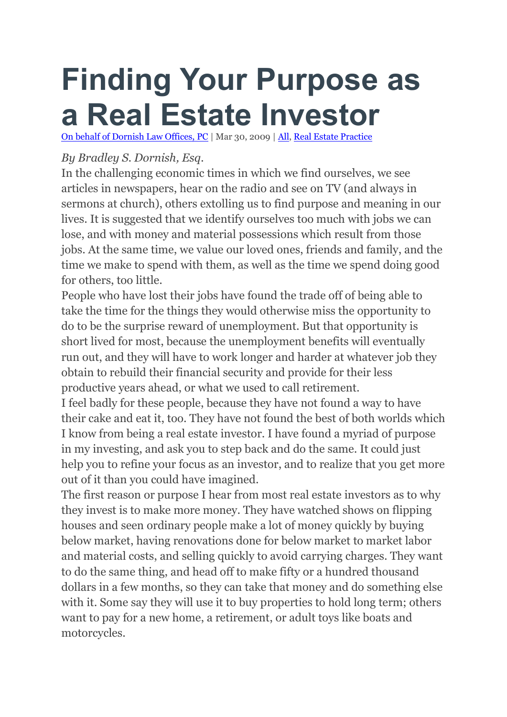## **Finding Your Purpose as a Real Estate Investor**

On behalf of [Dornish](https://3394442.findlaw5.flsitebuilder.com/) Law Offices, PC | Mar 30, 2009 | [All,](https://3394442.findlaw5.flsitebuilder.com/blog/category/all/) Real Estate [Practice](https://3394442.findlaw5.flsitebuilder.com/blog/category/real-estate-practice/)

## *By Bradley S. Dornish, Esq.*

In the challenging economic times in which we find ourselves, we see articles in newspapers, hear on the radio and see on TV (and always in sermons at church), others extolling us to find purpose and meaning in our lives. It is suggested that we identify ourselves too much with jobs we can lose, and with money and material possessions which result from those jobs. At the same time, we value our loved ones, friends and family, and the time we make to spend with them, as well as the time we spend doing good for others, too little.

People who have lost their jobs have found the trade off of being able to take the time for the things they would otherwise miss the opportunity to do to be the surprise reward of unemployment. But that opportunity is short lived for most, because the unemployment benefits will eventually run out, and they will have to work longer and harder at whatever job they obtain to rebuild their financial security and provide for their less productive years ahead, or what we used to call retirement.

I feel badly for these people, because they have not found a way to have their cake and eat it, too. They have not found the best of both worlds which I know from being a real estate investor. I have found a myriad of purpose in my investing, and ask you to step back and do the same. It could just help you to refine your focus as an investor, and to realize that you get more out of it than you could have imagined.

The first reason or purpose I hear from most real estate investors as to why they invest is to make more money. They have watched shows on flipping houses and seen ordinary people make a lot of money quickly by buying below market, having renovations done for below market to market labor and material costs, and selling quickly to avoid carrying charges. They want to do the same thing, and head off to make fifty or a hundred thousand dollars in a few months, so they can take that money and do something else with it. Some say they will use it to buy properties to hold long term; others want to pay for a new home, a retirement, or adult toys like boats and motorcycles.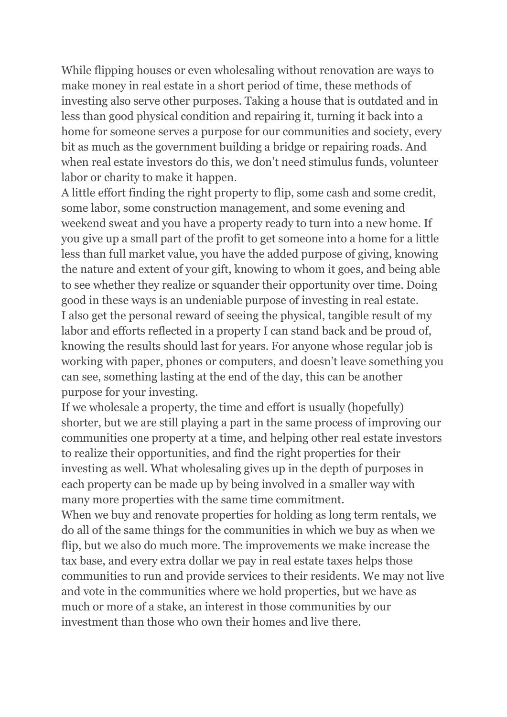While flipping houses or even wholesaling without renovation are ways to make money in real estate in a short period of time, these methods of investing also serve other purposes. Taking a house that is outdated and in less than good physical condition and repairing it, turning it back into a home for someone serves a purpose for our communities and society, every bit as much as the government building a bridge or repairing roads. And when real estate investors do this, we don't need stimulus funds, volunteer labor or charity to make it happen.

A little effort finding the right property to flip, some cash and some credit, some labor, some construction management, and some evening and weekend sweat and you have a property ready to turn into a new home. If you give up a small part of the profit to get someone into a home for a little less than full market value, you have the added purpose of giving, knowing the nature and extent of your gift, knowing to whom it goes, and being able to see whether they realize or squander their opportunity over time. Doing good in these ways is an undeniable purpose of investing in real estate. I also get the personal reward of seeing the physical, tangible result of my labor and efforts reflected in a property I can stand back and be proud of, knowing the results should last for years. For anyone whose regular job is working with paper, phones or computers, and doesn't leave something you can see, something lasting at the end of the day, this can be another purpose for your investing.

If we wholesale a property, the time and effort is usually (hopefully) shorter, but we are still playing a part in the same process of improving our communities one property at a time, and helping other real estate investors to realize their opportunities, and find the right properties for their investing as well. What wholesaling gives up in the depth of purposes in each property can be made up by being involved in a smaller way with many more properties with the same time commitment.

When we buy and renovate properties for holding as long term rentals, we do all of the same things for the communities in which we buy as when we flip, but we also do much more. The improvements we make increase the tax base, and every extra dollar we pay in real estate taxes helps those communities to run and provide services to their residents. We may not live and vote in the communities where we hold properties, but we have as much or more of a stake, an interest in those communities by our investment than those who own their homes and live there.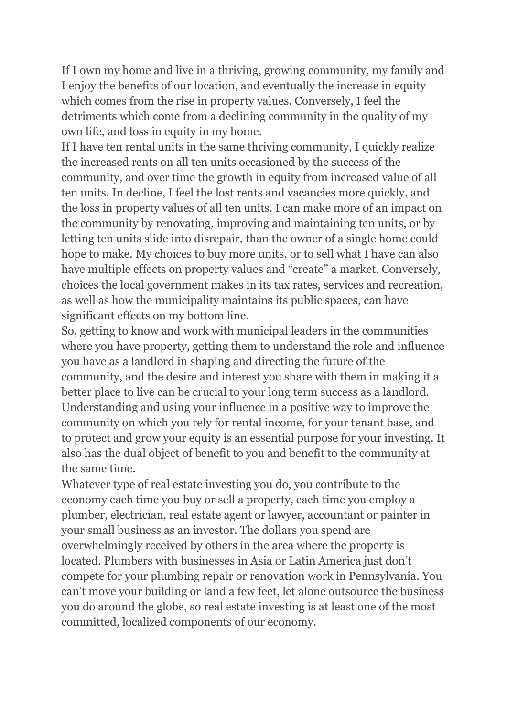If I own my home and live in a thriving, growing community, my family and I enjoy the benefits of our location, and eventually the increase in equity which comes from the rise in property values. Conversely, I feel the detriments which come from a declining community in the quality of my own life, and loss in equity in my home.

If I have ten rental units in the same thriving community, I quickly realize the increased rents on all ten units occasioned by the success of the community, and over time the growth in equity from increased value of all ten units. In decline, I feel the lost rents and vacancies more quickly, and the loss in property values of all ten units. I can make more of an impact on the community by renovating, improving and maintaining ten units, or by letting ten units slide into disrepair, than the owner of a single home could hope to make. My choices to buy more units, or to sell what I have can also have multiple effects on property values and "create" a market. Conversely, choices the local government makes in its tax rates, services and recreation, as well as how the municipality maintains its public spaces, can have significant effects on my bottom line.

So, getting to know and work with municipal leaders in the communities where you have property, getting them to understand the role and influence you have as a landlord in shaping and directing the future of the community, and the desire and interest you share with them in making it a better place to live can be crucial to your long term success as a landlord. Understanding and using your influence in a positive way to improve the community on which you rely for rental income, for your tenant base, and to protect and grow your equity is an essential purpose for your investing. It also has the dual object of benefit to you and benefit to the community at the same time.

Whatever type of real estate investing you do, you contribute to the economy each time you buy or sell a property, each time you employ a plumber, electrician, real estate agent or lawyer, accountant or painter in your small business as an investor. The dollars you spend are overwhelmingly received by others in the area where the property is located. Plumbers with businesses in Asia or Latin America just don't compete for your plumbing repair or renovation work in Pennsylvania. You can't move your building or land a few feet, let alone outsource the business you do around the globe, so real estate investing is at least one of the most committed, localized components of our economy.